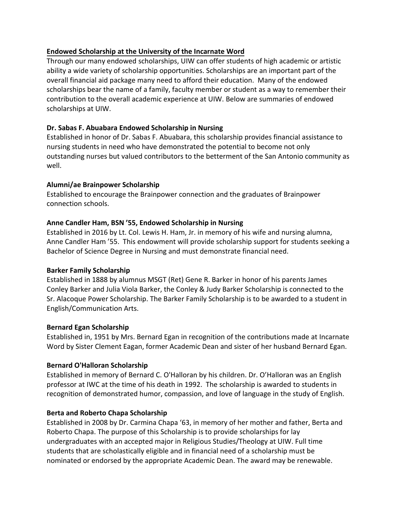### **Endowed Scholarship at the University of the Incarnate Word**

Through our many endowed scholarships, UIW can offer students of high academic or artistic ability a wide variety of scholarship opportunities. Scholarships are an important part of the overall financial aid package many need to afford their education. Many of the endowed scholarships bear the name of a family, faculty member or student as a way to remember their contribution to the overall academic experience at UIW. Below are summaries of endowed scholarships at UIW.

### **Dr. Sabas F. Abuabara Endowed Scholarship in Nursing**

Established in honor of Dr. Sabas F. Abuabara, this scholarship provides financial assistance to nursing students in need who have demonstrated the potential to become not only outstanding nurses but valued contributors to the betterment of the San Antonio community as well.

### **Alumni/ae Brainpower Scholarship**

Established to encourage the Brainpower connection and the graduates of Brainpower connection schools.

### **Anne Candler Ham, BSN '55, Endowed Scholarship in Nursing**

Established in 2016 by Lt. Col. Lewis H. Ham, Jr. in memory of his wife and nursing alumna, Anne Candler Ham '55. This endowment will provide scholarship support for students seeking a Bachelor of Science Degree in Nursing and must demonstrate financial need.

#### **Barker Family Scholarship**

Established in 1888 by alumnus MSGT (Ret) Gene R. Barker in honor of his parents James Conley Barker and Julia Viola Barker, the Conley & Judy Barker Scholarship is connected to the Sr. Alacoque Power Scholarship. The Barker Family Scholarship is to be awarded to a student in English/Communication Arts.

#### **Bernard Egan Scholarship**

Established in, 1951 by Mrs. Bernard Egan in recognition of the contributions made at Incarnate Word by Sister Clement Eagan, former Academic Dean and sister of her husband Bernard Egan.

#### **Bernard O'Halloran Scholarship**

Established in memory of Bernard C. O'Halloran by his children. Dr. O'Halloran was an English professor at IWC at the time of his death in 1992. The scholarship is awarded to students in recognition of demonstrated humor, compassion, and love of language in the study of English.

#### **Berta and Roberto Chapa Scholarship**

Established in 2008 by Dr. Carmina Chapa '63, in memory of her mother and father, Berta and Roberto Chapa. The purpose of this Scholarship is to provide scholarships for lay undergraduates with an accepted major in Religious Studies/Theology at UIW. Full time students that are scholastically eligible and in financial need of a scholarship must be nominated or endorsed by the appropriate Academic Dean. The award may be renewable.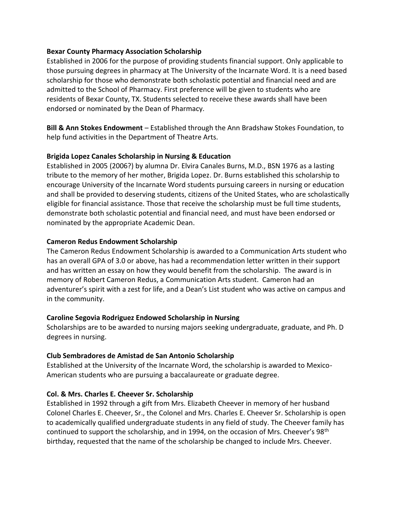### **Bexar County Pharmacy Association Scholarship**

Established in 2006 for the purpose of providing students financial support. Only applicable to those pursuing degrees in pharmacy at The University of the Incarnate Word. It is a need based scholarship for those who demonstrate both scholastic potential and financial need and are admitted to the School of Pharmacy. First preference will be given to students who are residents of Bexar County, TX. Students selected to receive these awards shall have been endorsed or nominated by the Dean of Pharmacy.

**Bill & Ann Stokes Endowment** – Established through the Ann Bradshaw Stokes Foundation, to help fund activities in the Department of Theatre Arts.

### **Brigida Lopez Canales Scholarship in Nursing & Education**

Established in 2005 (2006?) by alumna Dr. Elvira Canales Burns, M.D., BSN 1976 as a lasting tribute to the memory of her mother, Brigida Lopez. Dr. Burns established this scholarship to encourage University of the Incarnate Word students pursuing careers in nursing or education and shall be provided to deserving students, citizens of the United States, who are scholastically eligible for financial assistance. Those that receive the scholarship must be full time students, demonstrate both scholastic potential and financial need, and must have been endorsed or nominated by the appropriate Academic Dean.

### **Cameron Redus Endowment Scholarship**

The Cameron Redus Endowment Scholarship is awarded to a Communication Arts student who has an overall GPA of 3.0 or above, has had a recommendation letter written in their support and has written an essay on how they would benefit from the scholarship. The award is in memory of Robert Cameron Redus, a Communication Arts student. Cameron had an adventurer's spirit with a zest for life, and a Dean's List student who was active on campus and in the community.

# **Caroline Segovia Rodriguez Endowed Scholarship in Nursing**

Scholarships are to be awarded to nursing majors seeking undergraduate, graduate, and Ph. D degrees in nursing.

# **Club Sembradores de Amistad de San Antonio Scholarship**

Established at the University of the Incarnate Word, the scholarship is awarded to Mexico-American students who are pursuing a baccalaureate or graduate degree.

# **Col. & Mrs. Charles E. Cheever Sr. Scholarship**

Established in 1992 through a gift from Mrs. Elizabeth Cheever in memory of her husband Colonel Charles E. Cheever, Sr., the Colonel and Mrs. Charles E. Cheever Sr. Scholarship is open to academically qualified undergraduate students in any field of study. The Cheever family has continued to support the scholarship, and in 1994, on the occasion of Mrs. Cheever's 98<sup>th</sup> birthday, requested that the name of the scholarship be changed to include Mrs. Cheever.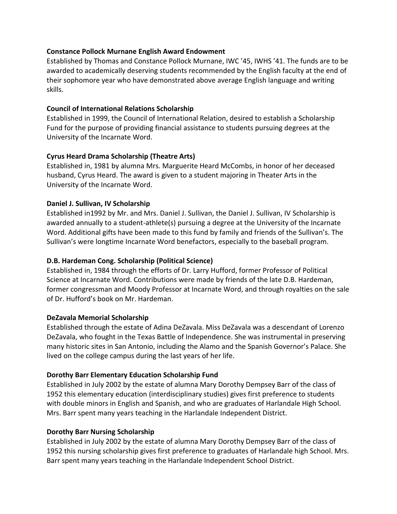### **Constance Pollock Murnane English Award Endowment**

Established by Thomas and Constance Pollock Murnane, IWC '45, IWHS '41. The funds are to be awarded to academically deserving students recommended by the English faculty at the end of their sophomore year who have demonstrated above average English language and writing skills.

### **Council of International Relations Scholarship**

Established in 1999, the Council of International Relation, desired to establish a Scholarship Fund for the purpose of providing financial assistance to students pursuing degrees at the University of the Incarnate Word.

### **Cyrus Heard Drama Scholarship (Theatre Arts)**

Established in, 1981 by alumna Mrs. Marguerite Heard McCombs, in honor of her deceased husband, Cyrus Heard. The award is given to a student majoring in Theater Arts in the University of the Incarnate Word.

### **Daniel J. Sullivan, IV Scholarship**

Established in1992 by Mr. and Mrs. Daniel J. Sullivan, the Daniel J. Sullivan, IV Scholarship is awarded annually to a student-athlete(s) pursuing a degree at the University of the Incarnate Word. Additional gifts have been made to this fund by family and friends of the Sullivan's. The Sullivan's were longtime Incarnate Word benefactors, especially to the baseball program.

# **D.B. Hardeman Cong. Scholarship (Political Science)**

Established in, 1984 through the efforts of Dr. Larry Hufford, former Professor of Political Science at Incarnate Word. Contributions were made by friends of the late D.B. Hardeman, former congressman and Moody Professor at Incarnate Word, and through royalties on the sale of Dr. Hufford's book on Mr. Hardeman.

# **DeZavala Memorial Scholarship**

Established through the estate of Adina DeZavala. Miss DeZavala was a descendant of Lorenzo DeZavala, who fought in the Texas Battle of Independence. She was instrumental in preserving many historic sites in San Antonio, including the Alamo and the Spanish Governor's Palace. She lived on the college campus during the last years of her life.

# **Dorothy Barr Elementary Education Scholarship Fund**

Established in July 2002 by the estate of alumna Mary Dorothy Dempsey Barr of the class of 1952 this elementary education (interdisciplinary studies) gives first preference to students with double minors in English and Spanish, and who are graduates of Harlandale High School. Mrs. Barr spent many years teaching in the Harlandale Independent District.

# **Dorothy Barr Nursing Scholarship**

Established in July 2002 by the estate of alumna Mary Dorothy Dempsey Barr of the class of 1952 this nursing scholarship gives first preference to graduates of Harlandale high School. Mrs. Barr spent many years teaching in the Harlandale Independent School District.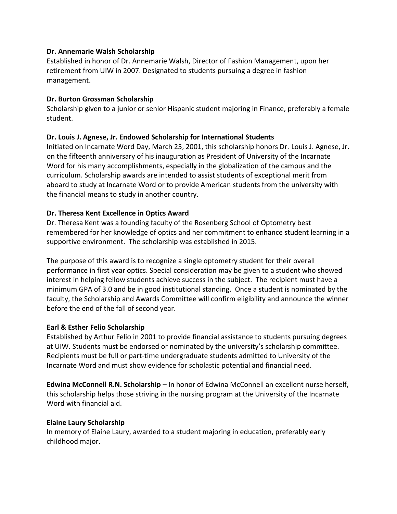### **Dr. Annemarie Walsh Scholarship**

Established in honor of Dr. Annemarie Walsh, Director of Fashion Management, upon her retirement from UIW in 2007. Designated to students pursuing a degree in fashion management.

### **Dr. Burton Grossman Scholarship**

Scholarship given to a junior or senior Hispanic student majoring in Finance, preferably a female student.

# **Dr. Louis J. Agnese, Jr. Endowed Scholarship for International Students**

Initiated on Incarnate Word Day, March 25, 2001, this scholarship honors Dr. Louis J. Agnese, Jr. on the fifteenth anniversary of his inauguration as President of University of the Incarnate Word for his many accomplishments, especially in the globalization of the campus and the curriculum. Scholarship awards are intended to assist students of exceptional merit from aboard to study at Incarnate Word or to provide American students from the university with the financial means to study in another country.

### **Dr. Theresa Kent Excellence in Optics Award**

Dr. Theresa Kent was a founding faculty of the Rosenberg School of Optometry best remembered for her knowledge of optics and her commitment to enhance student learning in a supportive environment. The scholarship was established in 2015.

The purpose of this award is to recognize a single optometry student for their overall performance in first year optics. Special consideration may be given to a student who showed interest in helping fellow students achieve success in the subject. The recipient must have a minimum GPA of 3.0 and be in good institutional standing. Once a student is nominated by the faculty, the Scholarship and Awards Committee will confirm eligibility and announce the winner before the end of the fall of second year.

# **Earl & Esther Felio Scholarship**

Established by Arthur Felio in 2001 to provide financial assistance to students pursuing degrees at UIW. Students must be endorsed or nominated by the university's scholarship committee. Recipients must be full or part-time undergraduate students admitted to University of the Incarnate Word and must show evidence for scholastic potential and financial need.

**Edwina McConnell R.N. Scholarship** – In honor of Edwina McConnell an excellent nurse herself, this scholarship helps those striving in the nursing program at the University of the Incarnate Word with financial aid.

#### **Elaine Laury Scholarship**

In memory of Elaine Laury, awarded to a student majoring in education, preferably early childhood major.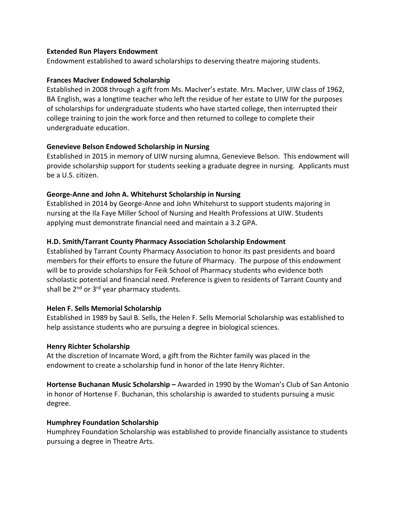#### **Extended Run Players Endowment**

Endowment established to award scholarships to deserving theatre majoring students.

#### **Frances MacIver Endowed Scholarship**

Established in 2008 through a gift from Ms. MacIver's estate. Mrs. MacIver, UIW class of 1962, BA English, was a longtime teacher who left the residue of her estate to UIW for the purposes of scholarships for undergraduate students who have started college, then interrupted their college training to join the work force and then returned to college to complete their undergraduate education.

#### **Genevieve Belson Endowed Scholarship in Nursing**

Established in 2015 in memory of UIW nursing alumna, Genevieve Belson. This endowment will provide scholarship support for students seeking a graduate degree in nursing. Applicants must be a U.S. citizen.

#### **George-Anne and John A. Whitehurst Scholarship in Nursing**

Established in 2014 by George-Anne and John Whitehurst to support students majoring in nursing at the Ila Faye Miller School of Nursing and Health Professions at UIW. Students applying must demonstrate financial need and maintain a 3.2 GPA.

#### **H.D. Smith/Tarrant County Pharmacy Association Scholarship Endowment**

Established by Tarrant County Pharmacy Association to honor its past presidents and board members for their efforts to ensure the future of Pharmacy. The purpose of this endowment will be to provide scholarships for Feik School of Pharmacy students who evidence both scholastic potential and financial need. Preference is given to residents of Tarrant County and shall be  $2^{nd}$  or  $3^{rd}$  year pharmacy students.

#### **Helen F. Sells Memorial Scholarship**

Established in 1989 by Saul B. Sells, the Helen F. Sells Memorial Scholarship was established to help assistance students who are pursuing a degree in biological sciences.

#### **Henry Richter Scholarship**

At the discretion of Incarnate Word, a gift from the Richter family was placed in the endowment to create a scholarship fund in honor of the late Henry Richter.

**Hortense Buchanan Music Scholarship –** Awarded in 1990 by the Woman's Club of San Antonio in honor of Hortense F. Buchanan, this scholarship is awarded to students pursuing a music degree.

#### **Humphrey Foundation Scholarship**

Humphrey Foundation Scholarship was established to provide financially assistance to students pursuing a degree in Theatre Arts.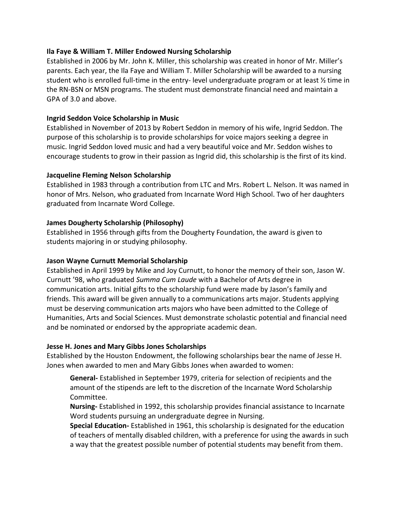### **Ila Faye & William T. Miller Endowed Nursing Scholarship**

Established in 2006 by Mr. John K. Miller, this scholarship was created in honor of Mr. Miller's parents. Each year, the Ila Faye and William T. Miller Scholarship will be awarded to a nursing student who is enrolled full-time in the entry- level undergraduate program or at least  $\frac{1}{2}$  time in the RN-BSN or MSN programs. The student must demonstrate financial need and maintain a GPA of 3.0 and above.

### **Ingrid Seddon Voice Scholarship in Music**

Established in November of 2013 by Robert Seddon in memory of his wife, Ingrid Seddon. The purpose of this scholarship is to provide scholarships for voice majors seeking a degree in music. Ingrid Seddon loved music and had a very beautiful voice and Mr. Seddon wishes to encourage students to grow in their passion as Ingrid did, this scholarship is the first of its kind.

### **Jacqueline Fleming Nelson Scholarship**

Established in 1983 through a contribution from LTC and Mrs. Robert L. Nelson. It was named in honor of Mrs. Nelson, who graduated from Incarnate Word High School. Two of her daughters graduated from Incarnate Word College.

### **James Dougherty Scholarship (Philosophy)**

Established in 1956 through gifts from the Dougherty Foundation, the award is given to students majoring in or studying philosophy.

### **Jason Wayne Curnutt Memorial Scholarship**

Established in April 1999 by Mike and Joy Curnutt, to honor the memory of their son, Jason W. Curnutt '98, who graduated *Summa Cum Laude* with a Bachelor of Arts degree in communication arts. Initial gifts to the scholarship fund were made by Jason's family and friends. This award will be given annually to a communications arts major. Students applying must be deserving communication arts majors who have been admitted to the College of Humanities, Arts and Social Sciences. Must demonstrate scholastic potential and financial need and be nominated or endorsed by the appropriate academic dean.

#### **Jesse H. Jones and Mary Gibbs Jones Scholarships**

Established by the Houston Endowment, the following scholarships bear the name of Jesse H. Jones when awarded to men and Mary Gibbs Jones when awarded to women:

**General-** Established in September 1979, criteria for selection of recipients and the amount of the stipends are left to the discretion of the Incarnate Word Scholarship Committee.

**Nursing-** Established in 1992, this scholarship provides financial assistance to Incarnate Word students pursuing an undergraduate degree in Nursing.

**Special Education-** Established in 1961, this scholarship is designated for the education of teachers of mentally disabled children, with a preference for using the awards in such a way that the greatest possible number of potential students may benefit from them.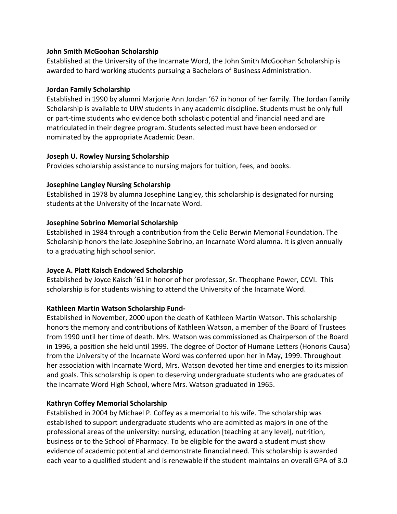### **John Smith McGoohan Scholarship**

Established at the University of the Incarnate Word, the John Smith McGoohan Scholarship is awarded to hard working students pursuing a Bachelors of Business Administration.

### **Jordan Family Scholarship**

Established in 1990 by alumni Marjorie Ann Jordan '67 in honor of her family. The Jordan Family Scholarship is available to UIW students in any academic discipline. Students must be only full or part-time students who evidence both scholastic potential and financial need and are matriculated in their degree program. Students selected must have been endorsed or nominated by the appropriate Academic Dean.

### **Joseph U. Rowley Nursing Scholarship**

Provides scholarship assistance to nursing majors for tuition, fees, and books.

# **Josephine Langley Nursing Scholarship**

Established in 1978 by alumna Josephine Langley, this scholarship is designated for nursing students at the University of the Incarnate Word.

# **Josephine Sobrino Memorial Scholarship**

Established in 1984 through a contribution from the Celia Berwin Memorial Foundation. The Scholarship honors the late Josephine Sobrino, an Incarnate Word alumna. It is given annually to a graduating high school senior.

# **Joyce A. Platt Kaisch Endowed Scholarship**

Established by Joyce Kaisch '61 in honor of her professor, Sr. Theophane Power, CCVI. This scholarship is for students wishing to attend the University of the Incarnate Word.

# **Kathleen Martin Watson Scholarship Fund-**

Established in November, 2000 upon the death of Kathleen Martin Watson. This scholarship honors the memory and contributions of Kathleen Watson, a member of the Board of Trustees from 1990 until her time of death. Mrs. Watson was commissioned as Chairperson of the Board in 1996, a position she held until 1999. The degree of Doctor of Humane Letters (Honoris Causa) from the University of the Incarnate Word was conferred upon her in May, 1999. Throughout her association with Incarnate Word, Mrs. Watson devoted her time and energies to its mission and goals. This scholarship is open to deserving undergraduate students who are graduates of the Incarnate Word High School, where Mrs. Watson graduated in 1965.

# **Kathryn Coffey Memorial Scholarship**

Established in 2004 by Michael P. Coffey as a memorial to his wife. The scholarship was established to support undergraduate students who are admitted as majors in one of the professional areas of the university: nursing, education [teaching at any level], nutrition, business or to the School of Pharmacy. To be eligible for the award a student must show evidence of academic potential and demonstrate financial need. This scholarship is awarded each year to a qualified student and is renewable if the student maintains an overall GPA of 3.0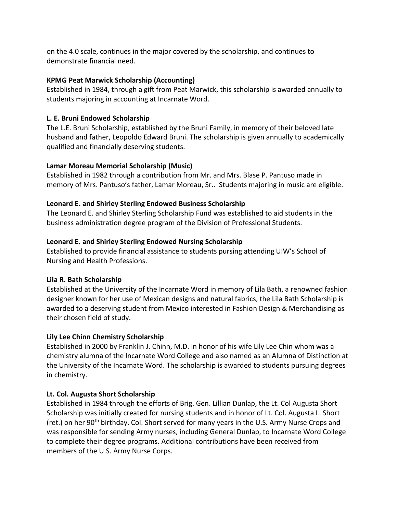on the 4.0 scale, continues in the major covered by the scholarship, and continues to demonstrate financial need.

# **KPMG Peat Marwick Scholarship (Accounting)**

Established in 1984, through a gift from Peat Marwick, this scholarship is awarded annually to students majoring in accounting at Incarnate Word.

# **L. E. Bruni Endowed Scholarship**

The L.E. Bruni Scholarship, established by the Bruni Family, in memory of their beloved late husband and father, Leopoldo Edward Bruni. The scholarship is given annually to academically qualified and financially deserving students.

# **Lamar Moreau Memorial Scholarship (Music)**

Established in 1982 through a contribution from Mr. and Mrs. Blase P. Pantuso made in memory of Mrs. Pantuso's father, Lamar Moreau, Sr.. Students majoring in music are eligible.

# **Leonard E. and Shirley Sterling Endowed Business Scholarship**

The Leonard E. and Shirley Sterling Scholarship Fund was established to aid students in the business administration degree program of the Division of Professional Students.

# **Leonard E. and Shirley Sterling Endowed Nursing Scholarship**

Established to provide financial assistance to students pursing attending UIW's School of Nursing and Health Professions.

# **Lila R. Bath Scholarship**

Established at the University of the Incarnate Word in memory of Lila Bath, a renowned fashion designer known for her use of Mexican designs and natural fabrics, the Lila Bath Scholarship is awarded to a deserving student from Mexico interested in Fashion Design & Merchandising as their chosen field of study.

# **Lily Lee Chinn Chemistry Scholarship**

Established in 2000 by Franklin J. Chinn, M.D. in honor of his wife Lily Lee Chin whom was a chemistry alumna of the Incarnate Word College and also named as an Alumna of Distinction at the University of the Incarnate Word. The scholarship is awarded to students pursuing degrees in chemistry.

# **Lt. Col. Augusta Short Scholarship**

Established in 1984 through the efforts of Brig. Gen. Lillian Dunlap, the Lt. Col Augusta Short Scholarship was initially created for nursing students and in honor of Lt. Col. Augusta L. Short (ret.) on her 90<sup>th</sup> birthday. Col. Short served for many years in the U.S. Army Nurse Crops and was responsible for sending Army nurses, including General Dunlap, to Incarnate Word College to complete their degree programs. Additional contributions have been received from members of the U.S. Army Nurse Corps.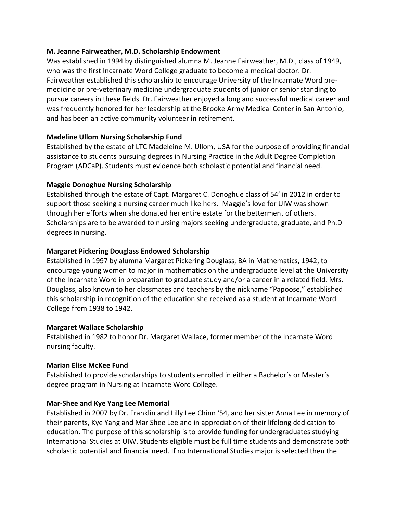### **M. Jeanne Fairweather, M.D. Scholarship Endowment**

Was established in 1994 by distinguished alumna M. Jeanne Fairweather, M.D., class of 1949, who was the first Incarnate Word College graduate to become a medical doctor. Dr. Fairweather established this scholarship to encourage University of the Incarnate Word premedicine or pre-veterinary medicine undergraduate students of junior or senior standing to pursue careers in these fields. Dr. Fairweather enjoyed a long and successful medical career and was frequently honored for her leadership at the Brooke Army Medical Center in San Antonio, and has been an active community volunteer in retirement.

# **Madeline Ullom Nursing Scholarship Fund**

Established by the estate of LTC Madeleine M. Ullom, USA for the purpose of providing financial assistance to students pursuing degrees in Nursing Practice in the Adult Degree Completion Program (ADCaP). Students must evidence both scholastic potential and financial need.

# **Maggie Donoghue Nursing Scholarship**

Established through the estate of Capt. Margaret C. Donoghue class of 54' in 2012 in order to support those seeking a nursing career much like hers. Maggie's love for UIW was shown through her efforts when she donated her entire estate for the betterment of others. Scholarships are to be awarded to nursing majors seeking undergraduate, graduate, and Ph.D degrees in nursing.

# **Margaret Pickering Douglass Endowed Scholarship**

Established in 1997 by alumna Margaret Pickering Douglass, BA in Mathematics, 1942, to encourage young women to major in mathematics on the undergraduate level at the University of the Incarnate Word in preparation to graduate study and/or a career in a related field. Mrs. Douglass, also known to her classmates and teachers by the nickname "Papoose," established this scholarship in recognition of the education she received as a student at Incarnate Word College from 1938 to 1942.

# **Margaret Wallace Scholarship**

Established in 1982 to honor Dr. Margaret Wallace, former member of the Incarnate Word nursing faculty.

# **Marian Elise McKee Fund**

Established to provide scholarships to students enrolled in either a Bachelor's or Master's degree program in Nursing at Incarnate Word College.

# **Mar-Shee and Kye Yang Lee Memorial**

Established in 2007 by Dr. Franklin and Lilly Lee Chinn '54, and her sister Anna Lee in memory of their parents, Kye Yang and Mar Shee Lee and in appreciation of their lifelong dedication to education. The purpose of this scholarship is to provide funding for undergraduates studying International Studies at UIW. Students eligible must be full time students and demonstrate both scholastic potential and financial need. If no International Studies major is selected then the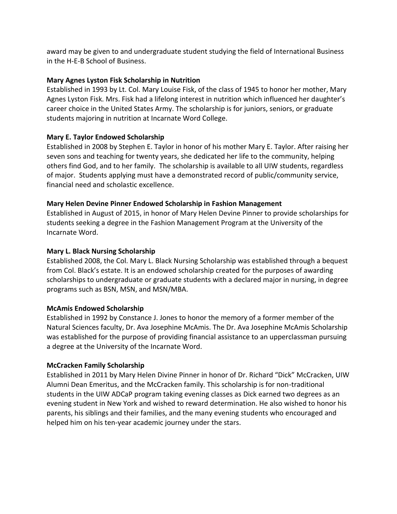award may be given to and undergraduate student studying the field of International Business in the H-E-B School of Business.

### **Mary Agnes Lyston Fisk Scholarship in Nutrition**

Established in 1993 by Lt. Col. Mary Louise Fisk, of the class of 1945 to honor her mother, Mary Agnes Lyston Fisk. Mrs. Fisk had a lifelong interest in nutrition which influenced her daughter's career choice in the United States Army. The scholarship is for juniors, seniors, or graduate students majoring in nutrition at Incarnate Word College.

### **Mary E. Taylor Endowed Scholarship**

Established in 2008 by Stephen E. Taylor in honor of his mother Mary E. Taylor. After raising her seven sons and teaching for twenty years, she dedicated her life to the community, helping others find God, and to her family. The scholarship is available to all UIW students, regardless of major. Students applying must have a demonstrated record of public/community service, financial need and scholastic excellence.

### **Mary Helen Devine Pinner Endowed Scholarship in Fashion Management**

Established in August of 2015, in honor of Mary Helen Devine Pinner to provide scholarships for students seeking a degree in the Fashion Management Program at the University of the Incarnate Word.

### **Mary L. Black Nursing Scholarship**

Established 2008, the Col. Mary L. Black Nursing Scholarship was established through a bequest from Col. Black's estate. It is an endowed scholarship created for the purposes of awarding scholarships to undergraduate or graduate students with a declared major in nursing, in degree programs such as BSN, MSN, and MSN/MBA.

#### **McAmis Endowed Scholarship**

Established in 1992 by Constance J. Jones to honor the memory of a former member of the Natural Sciences faculty, Dr. Ava Josephine McAmis. The Dr. Ava Josephine McAmis Scholarship was established for the purpose of providing financial assistance to an upperclassman pursuing a degree at the University of the Incarnate Word.

#### **McCracken Family Scholarship**

Established in 2011 by Mary Helen Divine Pinner in honor of Dr. Richard "Dick" McCracken, UIW Alumni Dean Emeritus, and the McCracken family. This scholarship is for non-traditional students in the UIW ADCaP program taking evening classes as Dick earned two degrees as an evening student in New York and wished to reward determination. He also wished to honor his parents, his siblings and their families, and the many evening students who encouraged and helped him on his ten-year academic journey under the stars.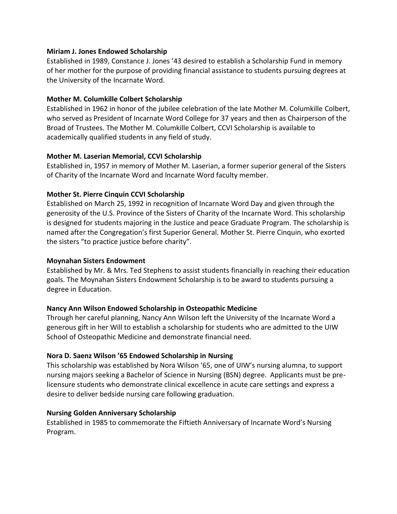#### **Miriam J. Jones Endowed Scholarship**

Established in 1989, Constance J. Jones '43 desired to establish a Scholarship Fund in memory of her mother for the purpose of providing financial assistance to students pursuing degrees at the University of the Incarnate Word.

### **Mother M. Columkille Colbert Scholarship**

Established in 1962 in honor of the jubilee celebration of the late Mother M. Columkille Colbert, who served as President of Incarnate Word College for 37 years and then as Chairperson of the Broad of Trustees. The Mother M. Columkille Colbert, CCVI Scholarship is available to academically qualified students in any field of study.

### **Mother M. Laserian Memorial, CCVI Scholarship**

Established in, 1957 in memory of Mother M. Laserian, a former superior general of the Sisters of Charity of the Incarnate Word and Incarnate Word faculty member.

# **Mother St. Pierre Cinquin CCVI Scholarship**

Established on March 25, 1992 in recognition of Incarnate Word Day and given through the generosity of the U.S. Province of the Sisters of Charity of the Incarnate Word. This scholarship is designed for students majoring in the Justice and peace Graduate Program. The scholarship is named after the Congregation's first Superior General. Mother St. Pierre Cinquin, who exorted the sisters "to practice justice before charity".

### **Moynahan Sisters Endowment**

Established by Mr. & Mrs. Ted Stephens to assist students financially in reaching their education goals. The Moynahan Sisters Endowment Scholarship is to be award to students pursuing a degree in Education.

# **Nancy Ann Wilson Endowed Scholarship in Osteopathic Medicine**

Through her careful planning, Nancy Ann Wilson left the University of the Incarnate Word a generous gift in her Will to establish a scholarship for students who are admitted to the UIW School of Osteopathic Medicine and demonstrate financial need.

# **Nora D. Saenz Wilson '65 Endowed Scholarship in Nursing**

This scholarship was established by Nora Wilson '65, one of UIW's nursing alumna, to support nursing majors seeking a Bachelor of Science in Nursing (BSN) degree. Applicants must be prelicensure students who demonstrate clinical excellence in acute care settings and express a desire to deliver bedside nursing care following graduation.

#### **Nursing Golden Anniversary Scholarship**

Established in 1985 to commemorate the Fiftieth Anniversary of Incarnate Word's Nursing Program.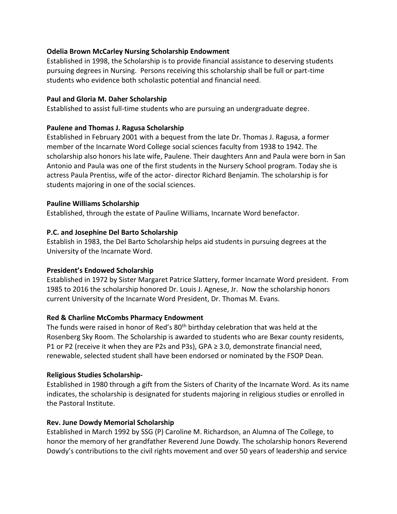### **Odelia Brown McCarley Nursing Scholarship Endowment**

Established in 1998, the Scholarship is to provide financial assistance to deserving students pursuing degrees in Nursing. Persons receiving this scholarship shall be full or part-time students who evidence both scholastic potential and financial need.

### **Paul and Gloria M. Daher Scholarship**

Established to assist full-time students who are pursuing an undergraduate degree.

### **Paulene and Thomas J. Ragusa Scholarship**

Established in February 2001 with a bequest from the late Dr. Thomas J. Ragusa, a former member of the Incarnate Word College social sciences faculty from 1938 to 1942. The scholarship also honors his late wife, Paulene. Their daughters Ann and Paula were born in San Antonio and Paula was one of the first students in the Nursery School program. Today she is actress Paula Prentiss, wife of the actor- director Richard Benjamin. The scholarship is for students majoring in one of the social sciences.

### **Pauline Williams Scholarship**

Established, through the estate of Pauline Williams, Incarnate Word benefactor.

### **P.C. and Josephine Del Barto Scholarship**

Establish in 1983, the Del Barto Scholarship helps aid students in pursuing degrees at the University of the Incarnate Word.

#### **President's Endowed Scholarship**

Established in 1972 by Sister Margaret Patrice Slattery, former Incarnate Word president. From 1985 to 2016 the scholarship honored Dr. Louis J. Agnese, Jr. Now the scholarship honors current University of the Incarnate Word President, Dr. Thomas M. Evans.

# **Red & Charline McCombs Pharmacy Endowment**

The funds were raised in honor of Red's 80<sup>th</sup> birthday celebration that was held at the Rosenberg Sky Room. The Scholarship is awarded to students who are Bexar county residents, P1 or P2 (receive it when they are P2s and P3s), GPA  $\geq$  3.0, demonstrate financial need, renewable, selected student shall have been endorsed or nominated by the FSOP Dean.

# **Religious Studies Scholarship-**

Established in 1980 through a gift from the Sisters of Charity of the Incarnate Word. As its name indicates, the scholarship is designated for students majoring in religious studies or enrolled in the Pastoral Institute.

#### **Rev. June Dowdy Memorial Scholarship**

Established in March 1992 by SSG (P) Caroline M. Richardson, an Alumna of The College, to honor the memory of her grandfather Reverend June Dowdy. The scholarship honors Reverend Dowdy's contributions to the civil rights movement and over 50 years of leadership and service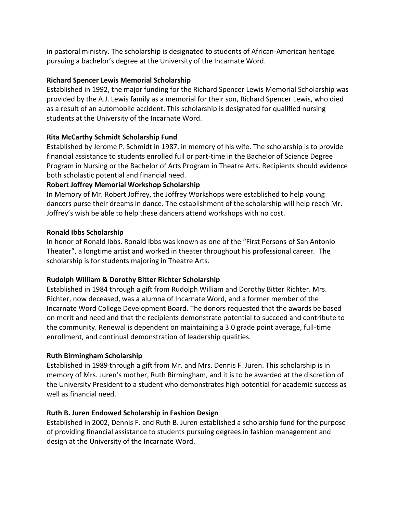in pastoral ministry. The scholarship is designated to students of African-American heritage pursuing a bachelor's degree at the University of the Incarnate Word.

# **Richard Spencer Lewis Memorial Scholarship**

Established in 1992, the major funding for the Richard Spencer Lewis Memorial Scholarship was provided by the A.J. Lewis family as a memorial for their son, Richard Spencer Lewis, who died as a result of an automobile accident. This scholarship is designated for qualified nursing students at the University of the Incarnate Word.

# **Rita McCarthy Schmidt Scholarship Fund**

Established by Jerome P. Schmidt in 1987, in memory of his wife. The scholarship is to provide financial assistance to students enrolled full or part-time in the Bachelor of Science Degree Program in Nursing or the Bachelor of Arts Program in Theatre Arts. Recipients should evidence both scholastic potential and financial need.

# **Robert Joffrey Memorial Workshop Scholarship**

In Memory of Mr. Robert Joffrey, the Joffrey Workshops were established to help young dancers purse their dreams in dance. The establishment of the scholarship will help reach Mr. Joffrey's wish be able to help these dancers attend workshops with no cost.

# **Ronald Ibbs Scholarship**

In honor of Ronald Ibbs. Ronald Ibbs was known as one of the "First Persons of San Antonio Theater", a longtime artist and worked in theater throughout his professional career. The scholarship is for students majoring in Theatre Arts.

# **Rudolph William & Dorothy Bitter Richter Scholarship**

Established in 1984 through a gift from Rudolph William and Dorothy Bitter Richter. Mrs. Richter, now deceased, was a alumna of Incarnate Word, and a former member of the Incarnate Word College Development Board. The donors requested that the awards be based on merit and need and that the recipients demonstrate potential to succeed and contribute to the community. Renewal is dependent on maintaining a 3.0 grade point average, full-time enrollment, and continual demonstration of leadership qualities.

# **Ruth Birmingham Scholarship**

Established in 1989 through a gift from Mr. and Mrs. Dennis F. Juren. This scholarship is in memory of Mrs. Juren's mother, Ruth Birmingham, and it is to be awarded at the discretion of the University President to a student who demonstrates high potential for academic success as well as financial need.

# **Ruth B. Juren Endowed Scholarship in Fashion Design**

Established in 2002, Dennis F. and Ruth B. Juren established a scholarship fund for the purpose of providing financial assistance to students pursuing degrees in fashion management and design at the University of the Incarnate Word.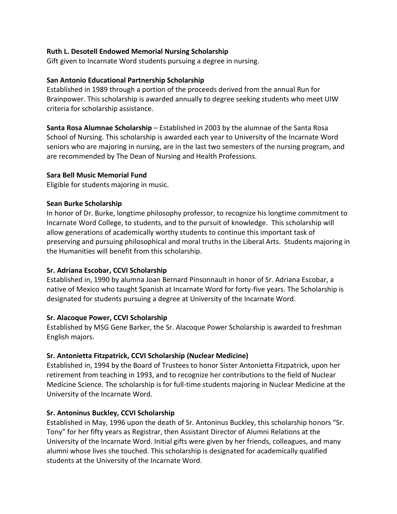### **Ruth L. Desotell Endowed Memorial Nursing Scholarship**

Gift given to Incarnate Word students pursuing a degree in nursing.

### **San Antonio Educational Partnership Scholarship**

Established in 1989 through a portion of the proceeds derived from the annual Run for Brainpower. This scholarship is awarded annually to degree seeking students who meet UIW criteria for scholarship assistance.

**Santa Rosa Alumnae Scholarship** – Established in 2003 by the alumnae of the Santa Rosa School of Nursing. This scholarship is awarded each year to University of the Incarnate Word seniors who are majoring in nursing, are in the last two semesters of the nursing program, and are recommended by The Dean of Nursing and Health Professions.

### **Sara Bell Music Memorial Fund**

Eligible for students majoring in music.

### **Sean Burke Scholarship**

In honor of Dr. Burke, longtime philosophy professor, to recognize his longtime commitment to Incarnate Word College, to students, and to the pursuit of knowledge. This scholarship will allow generations of academically worthy students to continue this important task of preserving and pursuing philosophical and moral truths in the Liberal Arts. Students majoring in the Humanities will benefit from this scholarship.

# **Sr. Adriana Escobar, CCVI Scholarship**

Established in, 1990 by alumna Joan Bernard Pinsonnault in honor of Sr. Adriana Escobar, a native of Mexico who taught Spanish at Incarnate Word for forty-five years. The Scholarship is designated for students pursuing a degree at University of the Incarnate Word.

# **Sr. Alacoque Power, CCVI Scholarship**

Established by MSG Gene Barker, the Sr. Alacoque Power Scholarship is awarded to freshman English majors.

# **Sr. Antonietta Fitzpatrick, CCVI Scholarship (Nuclear Medicine)**

Established in, 1994 by the Board of Trustees to honor Sister Antonietta Fitzpatrick, upon her retirement from teaching in 1993, and to recognize her contributions to the field of Nuclear Medicine Science. The scholarship is for full-time students majoring in Nuclear Medicine at the University of the Incarnate Word.

# **Sr. Antoninus Buckley, CCVI Scholarship**

Established in May, 1996 upon the death of Sr. Antoninus Buckley, this scholarship honors "Sr. Tony" for her fifty years as Registrar, then Assistant Director of Alumni Relations at the University of the Incarnate Word. Initial gifts were given by her friends, colleagues, and many alumni whose lives she touched. This scholarship is designated for academically qualified students at the University of the Incarnate Word.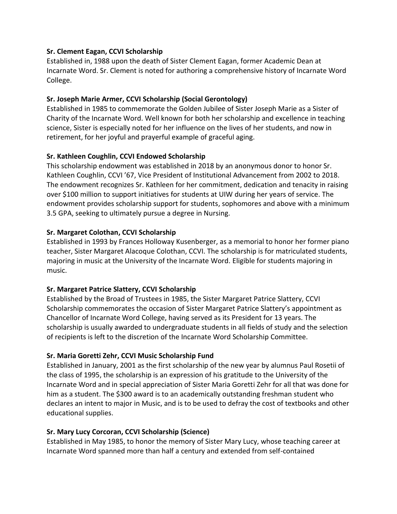### **Sr. Clement Eagan, CCVI Scholarship**

Established in, 1988 upon the death of Sister Clement Eagan, former Academic Dean at Incarnate Word. Sr. Clement is noted for authoring a comprehensive history of Incarnate Word College.

### **Sr. Joseph Marie Armer, CCVI Scholarship (Social Gerontology)**

Established in 1985 to commemorate the Golden Jubilee of Sister Joseph Marie as a Sister of Charity of the Incarnate Word. Well known for both her scholarship and excellence in teaching science, Sister is especially noted for her influence on the lives of her students, and now in retirement, for her joyful and prayerful example of graceful aging.

### **Sr. Kathleen Coughlin, CCVI Endowed Scholarship**

This scholarship endowment was established in 2018 by an anonymous donor to honor Sr. Kathleen Coughlin, CCVI '67, Vice President of Institutional Advancement from 2002 to 2018. The endowment recognizes Sr. Kathleen for her commitment, dedication and tenacity in raising over \$100 million to support initiatives for students at UIW during her years of service. The endowment provides scholarship support for students, sophomores and above with a minimum 3.5 GPA, seeking to ultimately pursue a degree in Nursing.

### **Sr. Margaret Colothan, CCVI Scholarship**

Established in 1993 by Frances Holloway Kusenberger, as a memorial to honor her former piano teacher, Sister Margaret Alacoque Colothan, CCVI. The scholarship is for matriculated students, majoring in music at the University of the Incarnate Word. Eligible for students majoring in music.

# **Sr. Margaret Patrice Slattery, CCVI Scholarship**

Established by the Broad of Trustees in 1985, the Sister Margaret Patrice Slattery, CCVI Scholarship commemorates the occasion of Sister Margaret Patrice Slattery's appointment as Chancellor of Incarnate Word College, having served as its President for 13 years. The scholarship is usually awarded to undergraduate students in all fields of study and the selection of recipients is left to the discretion of the Incarnate Word Scholarship Committee.

# **Sr. Maria Goretti Zehr, CCVI Music Scholarship Fund**

Established in January, 2001 as the first scholarship of the new year by alumnus Paul Rosetii of the class of 1995, the scholarship is an expression of his gratitude to the University of the Incarnate Word and in special appreciation of Sister Maria Goretti Zehr for all that was done for him as a student. The \$300 award is to an academically outstanding freshman student who declares an intent to major in Music, and is to be used to defray the cost of textbooks and other educational supplies.

# **Sr. Mary Lucy Corcoran, CCVI Scholarship (Science)**

Established in May 1985, to honor the memory of Sister Mary Lucy, whose teaching career at Incarnate Word spanned more than half a century and extended from self-contained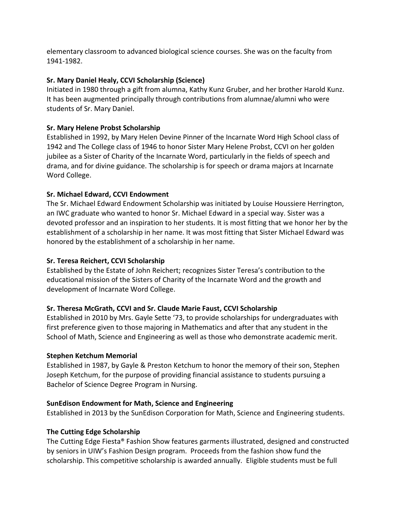elementary classroom to advanced biological science courses. She was on the faculty from 1941-1982.

# **Sr. Mary Daniel Healy, CCVI Scholarship (Science)**

Initiated in 1980 through a gift from alumna, Kathy Kunz Gruber, and her brother Harold Kunz. It has been augmented principally through contributions from alumnae/alumni who were students of Sr. Mary Daniel.

# **Sr. Mary Helene Probst Scholarship**

Established in 1992, by Mary Helen Devine Pinner of the Incarnate Word High School class of 1942 and The College class of 1946 to honor Sister Mary Helene Probst, CCVI on her golden jubilee as a Sister of Charity of the Incarnate Word, particularly in the fields of speech and drama, and for divine guidance. The scholarship is for speech or drama majors at Incarnate Word College.

# **Sr. Michael Edward, CCVI Endowment**

The Sr. Michael Edward Endowment Scholarship was initiated by Louise Houssiere Herrington, an IWC graduate who wanted to honor Sr. Michael Edward in a special way. Sister was a devoted professor and an inspiration to her students. It is most fitting that we honor her by the establishment of a scholarship in her name. It was most fitting that Sister Michael Edward was honored by the establishment of a scholarship in her name.

# **Sr. Teresa Reichert, CCVI Scholarship**

Established by the Estate of John Reichert; recognizes Sister Teresa's contribution to the educational mission of the Sisters of Charity of the Incarnate Word and the growth and development of Incarnate Word College.

# **Sr. Theresa McGrath, CCVI and Sr. Claude Marie Faust, CCVI Scholarship**

Established in 2010 by Mrs. Gayle Sette '73, to provide scholarships for undergraduates with first preference given to those majoring in Mathematics and after that any student in the School of Math, Science and Engineering as well as those who demonstrate academic merit.

# **Stephen Ketchum Memorial**

Established in 1987, by Gayle & Preston Ketchum to honor the memory of their son, Stephen Joseph Ketchum, for the purpose of providing financial assistance to students pursuing a Bachelor of Science Degree Program in Nursing.

# **SunEdison Endowment for Math, Science and Engineering**

Established in 2013 by the SunEdison Corporation for Math, Science and Engineering students.

# **The Cutting Edge Scholarship**

The Cutting Edge Fiesta® Fashion Show features garments illustrated, designed and constructed by seniors in UIW's Fashion Design program. Proceeds from the fashion show fund the scholarship. This competitive scholarship is awarded annually. Eligible students must be full